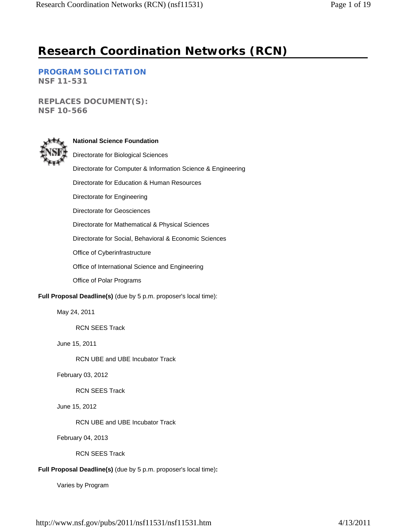# **Research Coordination Networks (RCN)**

**PROGRAM SOLICITATION NSF 11-531** 

**REPLACES DOCUMENT(S): NSF 10-566** 



RCN SEES Track

June 15, 2012

RCN UBE and UBE Incubator Track

February 04, 2013

RCN SEES Track

# **Full Proposal Deadline(s)** (due by 5 p.m. proposer's local time)**:**

Varies by Program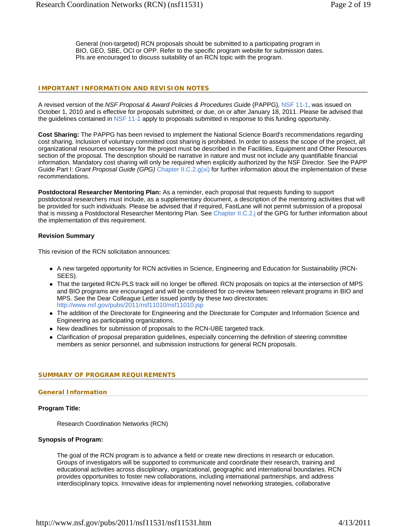General (non-targeted) RCN proposals should be submitted to a participating program in BIO, GEO, SBE, OCI or OPP. Refer to the specific program website for submission dates. PIs are encouraged to discuss suitability of an RCN topic with the program.

# **IMPORTANT INFORMATION AND REVISION NOTES**

A revised version of the *NSF Proposal & Award Policies & Procedures Guide* (PAPPG)*,* NSF 11-1, was issued on October 1, 2010 and is effective for proposals submitted, or due, on or after January 18, 2011. Please be advised that the guidelines contained in NSF 11-1 apply to proposals submitted in response to this funding opportunity.

**Cost Sharing:** The PAPPG has been revised to implement the National Science Board's recommendations regarding cost sharing. Inclusion of voluntary committed cost sharing is prohibited. In order to assess the scope of the project, all organizational resources necessary for the project must be described in the Facilities, Equipment and Other Resources section of the proposal. The description should be narrative in nature and must not include any quantifiable financial information. Mandatory cost sharing will only be required when explicitly authorized by the NSF Director. See the PAPP Guide Part I: *Grant Proposal Guide (GPG)* Chapter II.C.2.g(xi) for further information about the implementation of these recommendations.

**Postdoctoral Researcher Mentoring Plan:** As a reminder, each proposal that requests funding to support postdoctoral researchers must include, as a supplementary document, a description of the mentoring activities that will be provided for such individuals. Please be advised that if required, FastLane will not permit submission of a proposal that is missing a Postdoctoral Researcher Mentoring Plan. See Chapter II.C.2.j of the GPG for further information about the implementation of this requirement.

# **Revision Summary**

This revision of the RCN solicitation announces:

- A new targeted opportunity for RCN activities in Science, Engineering and Education for Sustainability (RCN-SEES).
- That the targeted RCN-PLS track will no longer be offered. RCN proposals on topics at the intersection of MPS and BIO programs are encouraged and will be considered for co-review between relevant programs in BIO and MPS. See the Dear Colleague Letter issued jointly by these two directorates: http://www.nsf.gov/pubs/2011/nsf11010/nsf11010.jsp
- The addition of the Directorate for Engineering and the Directorate for Computer and Information Science and Engineering as participating organizations.
- New deadlines for submission of proposals to the RCN-UBE targeted track.
- Clarification of proposal preparation guidelines, especially concerning the definition of steering committee members as senior personnel, and submission instructions for general RCN proposals.

# **SUMMARY OF PROGRAM REQUIREMENTS**

#### **General Information**

# **Program Title:**

Research Coordination Networks (RCN)

#### **Synopsis of Program:**

The goal of the RCN program is to advance a field or create new directions in research or education. Groups of investigators will be supported to communicate and coordinate their research, training and educational activities across disciplinary, organizational, geographic and international boundaries. RCN provides opportunities to foster new collaborations, including international partnerships, and address interdisciplinary topics. Innovative ideas for implementing novel networking strategies, collaborative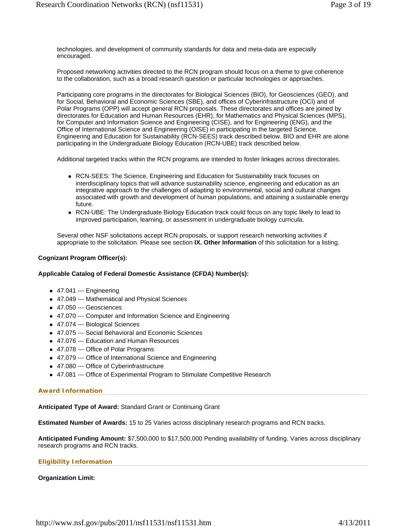technologies, and development of community standards for data and meta-data are especially encouraged.

Proposed networking activities directed to the RCN program should focus on a theme to give coherence to the collaboration, such as a broad research question or particular technologies or approaches.

Participating core programs in the directorates for Biological Sciences (BIO), for Geosciences (GEO), and for Social, Behavioral and Economic Sciences (SBE), and offices of Cyberinfrastructure (OCI) and of Polar Programs (OPP) will accept general RCN proposals. These directorates and offices are joined by directorates for Education and Human Resources (EHR), for Mathematics and Physical Sciences (MPS), for Computer and Information Science and Engineering (CISE), and for Engineering (ENG), and the Office of International Science and Engineering (OISE) in participating in the targeted Science, Engineering and Education for Sustainability (RCN-SEES) track described below. BIO and EHR are alone participating in the Undergraduate Biology Education (RCN-UBE) track described below.

Additional targeted tracks within the RCN programs are intended to foster linkages across directorates.

- RCN-SEES: The Science, Engineering and Education for Sustainability track focuses on interdisciplinary topics that will advance sustainability science, engineering and education as an integrative approach to the challenges of adapting to environmental, social and cultural changes associated with growth and development of human populations, and attaining a sustainable energy future.
- RCN-UBE: The Undergraduate Biology Education track could focus on any topic likely to lead to improved participation, learning, or assessment in undergraduate biology curricula.

Several other NSF solicitations accept RCN proposals, or support research networking activities if appropriate to the solicitation. Please see section **IX. Other Information** of this solicitation for a listing.

# **Cognizant Program Officer(s):**

# **Applicable Catalog of Federal Domestic Assistance (CFDA) Number(s):**

- $\bullet$  47.041 --- Engineering
- 47.049 --- Mathematical and Physical Sciences
- $\bullet$  47.050 --- Geosciences
- 47.070 --- Computer and Information Science and Engineering
- 47.074 --- Biological Sciences
- 47.075 --- Social Behavioral and Economic Sciences
- 47.076 --- Education and Human Resources
- 47.078 --- Office of Polar Programs
- 47.079 --- Office of International Science and Engineering
- 47.080 --- Office of Cyberinfrastructure
- 47.081 --- Office of Experimental Program to Stimulate Competitive Research

# **Award Information**

**Anticipated Type of Award:** Standard Grant or Continuing Grant

**Estimated Number of Awards:** 15 to 25 Varies across disciplinary research programs and RCN tracks.

**Anticipated Funding Amount:** \$7,500,000 to \$17,500,000 Pending availability of funding. Varies across disciplinary research programs and RCN tracks.

# **Eligibility Information**

# **Organization Limit:**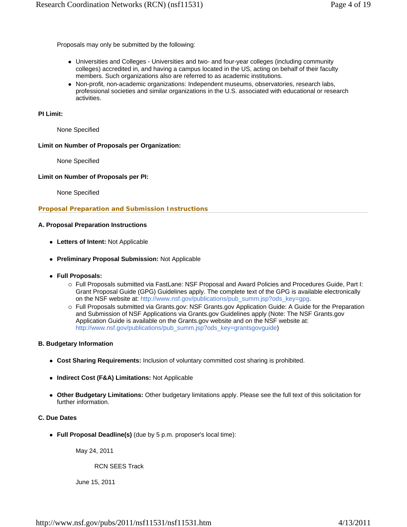Proposals may only be submitted by the following:

- Universities and Colleges Universities and two- and four-year colleges (including community colleges) accredited in, and having a campus located in the US, acting on behalf of their faculty members. Such organizations also are referred to as academic institutions.
- Non-profit, non-academic organizations: Independent museums, observatories, research labs, professional societies and similar organizations in the U.S. associated with educational or research activities.

# **PI Limit:**

None Specified

# **Limit on Number of Proposals per Organization:**

None Specified

# **Limit on Number of Proposals per PI:**

None Specified

# **Proposal Preparation and Submission Instructions**

# **A. Proposal Preparation Instructions**

- Letters of Intent: Not Applicable
- **Preliminary Proposal Submission: Not Applicable**
- z **Full Proposals:**
	- { Full Proposals submitted via FastLane: NSF Proposal and Award Policies and Procedures Guide, Part I: Grant Proposal Guide (GPG) Guidelines apply. The complete text of the GPG is available electronically on the NSF website at: http://www.nsf.gov/publications/pub\_summ.jsp?ods\_key=gpg.
	- { Full Proposals submitted via Grants.gov: NSF Grants.gov Application Guide: A Guide for the Preparation and Submission of NSF Applications via Grants.gov Guidelines apply (Note: The NSF Grants.gov Application Guide is available on the Grants.gov website and on the NSF website at: http://www.nsf.gov/publications/pub\_summ.jsp?ods\_key=grantsgovguide)

# **B. Budgetary Information**

- **Cost Sharing Requirements: Inclusion of voluntary committed cost sharing is prohibited.**
- **Indirect Cost (F&A) Limitations: Not Applicable**
- **Other Budgetary Limitations:** Other budgetary limitations apply. Please see the full text of this solicitation for further information.

# **C. Due Dates**

• Full Proposal Deadline(s) (due by 5 p.m. proposer's local time):

May 24, 2011

RCN SEES Track

June 15, 2011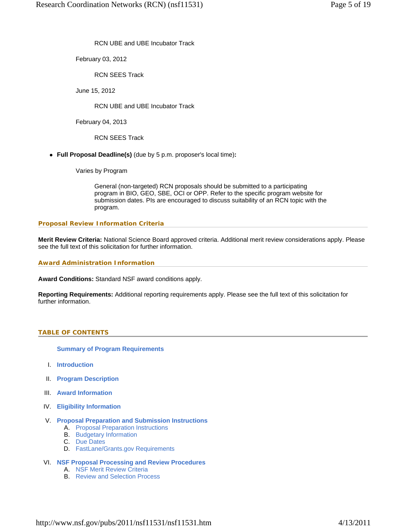RCN UBE and UBE Incubator Track

February 03, 2012

RCN SEES Track

June 15, 2012

RCN UBE and UBE Incubator Track

February 04, 2013

RCN SEES Track

z **Full Proposal Deadline(s)** (due by 5 p.m. proposer's local time)**:**

Varies by Program

General (non-targeted) RCN proposals should be submitted to a participating program in BIO, GEO, SBE, OCI or OPP. Refer to the specific program website for submission dates. PIs are encouraged to discuss suitability of an RCN topic with the program.

# **Proposal Review Information Criteria**

**Merit Review Criteria:** National Science Board approved criteria. Additional merit review considerations apply. Please see the full text of this solicitation for further information.

**Award Administration Information**

**Award Conditions:** Standard NSF award conditions apply.

**Reporting Requirements:** Additional reporting requirements apply. Please see the full text of this solicitation for further information.

# **TABLE OF CONTENTS**

**Summary of Program Requirements**

- I. **Introduction**
- II. **Program Description**
- III. **Award Information**
- IV. **Eligibility Information**
- V. **Proposal Preparation and Submission Instructions**
	- A. Proposal Preparation Instructions
	- B. Budgetary Information
	- C. Due Dates
	- D. FastLane/Grants.gov Requirements
- VI. **NSF Proposal Processing and Review Procedures**
	- A. NSF Merit Review Criteria
	- B. Review and Selection Process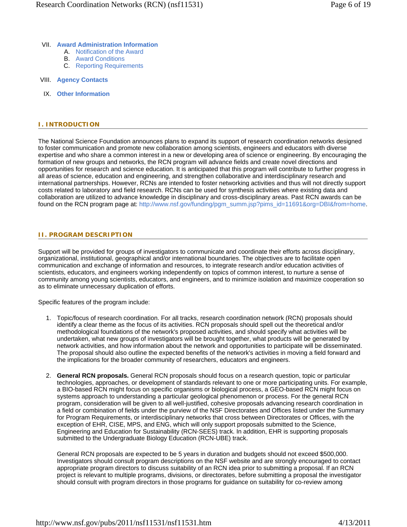- VII. **Award Administration Information**
	- A. Notification of the Award
	- B. Award Conditions
	- C. Reporting Requirements

# VIII. **Agency Contacts**

IX. **Other Information**

# **I. INTRODUCTION**

The National Science Foundation announces plans to expand its support of research coordination networks designed to foster communication and promote new collaboration among scientists, engineers and educators with diverse expertise and who share a common interest in a new or developing area of science or engineering. By encouraging the formation of new groups and networks, the RCN program will advance fields and create novel directions and opportunities for research and science education. It is anticipated that this program will contribute to further progress in all areas of science, education and engineering, and strengthen collaborative and interdisciplinary research and international partnerships. However, RCNs are intended to foster networking activities and thus will not directly support costs related to laboratory and field research. RCNs can be used for synthesis activities where existing data and collaboration are utilized to advance knowledge in disciplinary and cross-disciplinary areas. Past RCN awards can be found on the RCN program page at: http://www.nsf.gov/funding/pgm\_summ.jsp?pims\_id=11691&org=DBI&from=home.

# **II. PROGRAM DESCRIPTION**

Support will be provided for groups of investigators to communicate and coordinate their efforts across disciplinary, organizational, institutional, geographical and/or international boundaries. The objectives are to facilitate open communication and exchange of information and resources, to integrate research and/or education activities of scientists, educators, and engineers working independently on topics of common interest, to nurture a sense of community among young scientists, educators, and engineers, and to minimize isolation and maximize cooperation so as to eliminate unnecessary duplication of efforts.

Specific features of the program include:

- 1. Topic/focus of research coordination. For all tracks, research coordination network (RCN) proposals should identify a clear theme as the focus of its activities. RCN proposals should spell out the theoretical and/or methodological foundations of the network's proposed activities, and should specify what activities will be undertaken, what new groups of investigators will be brought together, what products will be generated by network activities, and how information about the network and opportunities to participate will be disseminated. The proposal should also outline the expected benefits of the network's activities in moving a field forward and the implications for the broader community of researchers, educators and engineers.
- 2. **General RCN proposals.** General RCN proposals should focus on a research question, topic or particular technologies, approaches, or development of standards relevant to one or more participating units. For example, a BIO-based RCN might focus on specific organisms or biological process, a GEO-based RCN might focus on systems approach to understanding a particular geological phenomenon or process. For the general RCN program, consideration will be given to all well-justified, cohesive proposals advancing research coordination in a field or combination of fields under the purview of the NSF Directorates and Offices listed under the Summary for Program Requirements, or interdisciplinary networks that cross between Directorates or Offices, with the exception of EHR, CISE, MPS, and ENG, which will only support proposals submitted to the Science, Engineering and Education for Sustainability (RCN-SEES) track. In addition, EHR is supporting proposals submitted to the Undergraduate Biology Education (RCN-UBE) track.

General RCN proposals are expected to be 5 years in duration and budgets should not exceed \$500,000. Investigators should consult program descriptions on the NSF website and are strongly encouraged to contact appropriate program directors to discuss suitability of an RCN idea prior to submitting a proposal. If an RCN project is relevant to multiple programs, divisions, or directorates, before submitting a proposal the investigator should consult with program directors in those programs for guidance on suitability for co-review among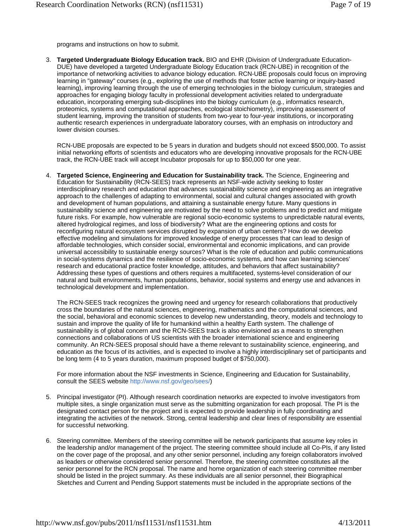programs and instructions on how to submit.

3. **Targeted Undergraduate Biology Education track.** BIO and EHR (Division of Undergraduate Education-DUE) have developed a targeted Undergraduate Biology Education track (RCN-UBE) in recognition of the importance of networking activities to advance biology education. RCN-UBE proposals could focus on improving learning in "gateway" courses (e.g., exploring the use of methods that foster active learning or inquiry-based learning), improving learning through the use of emerging technologies in the biology curriculum, strategies and approaches for engaging biology faculty in professional development activities related to undergraduate education, incorporating emerging sub-disciplines into the biology curriculum (e.g., informatics research, proteomics, systems and computational approaches, ecological stoichiometry), improving assessment of student learning, improving the transition of students from two-year to four-year institutions, or incorporating authentic research experiences in undergraduate laboratory courses, with an emphasis on introductory and lower division courses.

RCN-UBE proposals are expected to be 5 years in duration and budgets should not exceed \$500,000. To assist initial networking efforts of scientists and educators who are developing innovative proposals for the RCN-UBE track, the RCN-UBE track will accept Incubator proposals for up to \$50,000 for one year.

4. **Targeted Science, Engineering and Education for Sustainability track.** The Science, Engineering and Education for Sustainability (RCN-SEES) track represents an NSF-wide activity seeking to foster interdisciplinary research and education that advances sustainability science and engineering as an integrative approach to the challenges of adapting to environmental, social and cultural changes associated with growth and development of human populations, and attaining a sustainable energy future. Many questions in sustainability science and engineering are motivated by the need to solve problems and to predict and mitigate future risks. For example, how vulnerable are regional socio-economic systems to unpredictable natural events, altered hydrological regimes, and loss of biodiversity? What are the engineering options and costs for reconfiguring natural ecosystem services disrupted by expansion of urban centers? How do we develop effective modeling and simulations for improved knowledge of energy processes that can lead to design of affordable technologies, which consider social, environmental and economic implications, and can provide universal accessibility to sustainable energy sources? What is the role of education and public communications in social-systems dynamics and the resilience of socio-economic systems, and how can learning sciences' research and educational practice foster knowledge, attitudes, and behaviors that affect sustainability? Addressing these types of questions and others requires a multifaceted, systems-level consideration of our natural and built environments, human populations, behavior, social systems and energy use and advances in technological development and implementation.

The RCN-SEES track recognizes the growing need and urgency for research collaborations that productively cross the boundaries of the natural sciences, engineering, mathematics and the computational sciences, and the social, behavioral and economic sciences to develop new understanding, theory, models and technology to sustain and improve the quality of life for humankind within a healthy Earth system. The challenge of sustainability is of global concern and the RCN-SEES track is also envisioned as a means to strengthen connections and collaborations of US scientists with the broader international science and engineering community. An RCN-SEES proposal should have a theme relevant to sustainability science, engineering, and education as the focus of its activities, and is expected to involve a highly interdisciplinary set of participants and be long term (4 to 5 years duration, maximum proposed budget of \$750,000).

For more information about the NSF investments in Science, Engineering and Education for Sustainability, consult the SEES website http://www.nsf.gov/geo/sees/)

- 5. Principal investigator (PI). Although research coordination networks are expected to involve investigators from multiple sites, a single organization must serve as the submitting organization for each proposal. The PI is the designated contact person for the project and is expected to provide leadership in fully coordinating and integrating the activities of the network. Strong, central leadership and clear lines of responsibility are essential for successful networking.
- 6. Steering committee. Members of the steering committee will be network participants that assume key roles in the leadership and/or management of the project. The steering committee should include all Co-PIs, if any listed on the cover page of the proposal, and any other senior personnel, including any foreign collaborators involved as leaders or otherwise considered senior personnel. Therefore, the steering committee constitutes all the senior personnel for the RCN proposal. The name and home organization of each steering committee member should be listed in the project summary. As these individuals are all senior personnel, their Biographical Sketches and Current and Pending Support statements must be included in the appropriate sections of the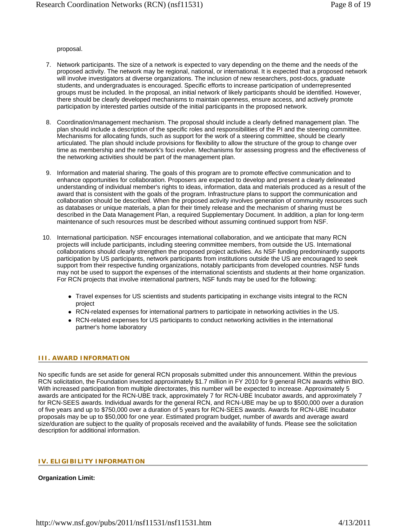# proposal.

- 7. Network participants. The size of a network is expected to vary depending on the theme and the needs of the proposed activity. The network may be regional, national, or international. It is expected that a proposed network will involve investigators at diverse organizations. The inclusion of new researchers, post-docs, graduate students, and undergraduates is encouraged. Specific efforts to increase participation of underrepresented groups must be included. In the proposal, an initial network of likely participants should be identified. However, there should be clearly developed mechanisms to maintain openness, ensure access, and actively promote participation by interested parties outside of the initial participants in the proposed network.
- 8. Coordination/management mechanism. The proposal should include a clearly defined management plan. The plan should include a description of the specific roles and responsibilities of the PI and the steering committee. Mechanisms for allocating funds, such as support for the work of a steering committee, should be clearly articulated. The plan should include provisions for flexibility to allow the structure of the group to change over time as membership and the network's foci evolve. Mechanisms for assessing progress and the effectiveness of the networking activities should be part of the management plan.
- 9. Information and material sharing. The goals of this program are to promote effective communication and to enhance opportunities for collaboration. Proposers are expected to develop and present a clearly delineated understanding of individual member's rights to ideas, information, data and materials produced as a result of the award that is consistent with the goals of the program. Infrastructure plans to support the communication and collaboration should be described. When the proposed activity involves generation of community resources such as databases or unique materials, a plan for their timely release and the mechanism of sharing must be described in the Data Management Plan, a required Supplementary Document. In addition, a plan for long-term maintenance of such resources must be described without assuming continued support from NSF.
- 10. International participation. NSF encourages international collaboration, and we anticipate that many RCN projects will include participants, including steering committee members, from outside the US. International collaborations should clearly strengthen the proposed project activities. As NSF funding predominantly supports participation by US participants, network participants from institutions outside the US are encouraged to seek support from their respective funding organizations, notably participants from developed countries. NSF funds may not be used to support the expenses of the international scientists and students at their home organization. For RCN projects that involve international partners, NSF funds may be used for the following:
	- Travel expenses for US scientists and students participating in exchange visits integral to the RCN project
	- RCN-related expenses for international partners to participate in networking activities in the US.
	- RCN-related expenses for US participants to conduct networking activities in the international partner's home laboratory

# **III. AWARD INFORMATION**

No specific funds are set aside for general RCN proposals submitted under this announcement. Within the previous RCN solicitation, the Foundation invested approximately \$1.7 million in FY 2010 for 9 general RCN awards within BIO. With increased participation from multiple directorates, this number will be expected to increase. Approximately 5 awards are anticipated for the RCN-UBE track, approximately 7 for RCN-UBE Incubator awards, and approximately 7 for RCN-SEES awards. Individual awards for the general RCN, and RCN-UBE may be up to \$500,000 over a duration of five years and up to \$750,000 over a duration of 5 years for RCN-SEES awards. Awards for RCN-UBE Incubator proposals may be up to \$50,000 for one year. Estimated program budget, number of awards and average award size/duration are subject to the quality of proposals received and the availability of funds. Please see the solicitation description for additional information.

# **IV. ELIGIBILITY INFORMATION**

# **Organization Limit:**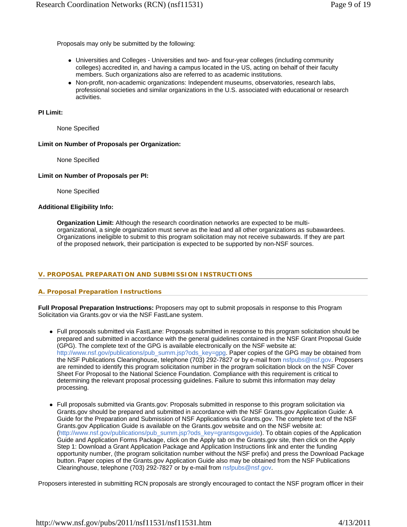Proposals may only be submitted by the following:

- Universities and Colleges Universities and two- and four-year colleges (including community colleges) accredited in, and having a campus located in the US, acting on behalf of their faculty members. Such organizations also are referred to as academic institutions.
- Non-profit, non-academic organizations: Independent museums, observatories, research labs, professional societies and similar organizations in the U.S. associated with educational or research activities.

#### **PI Limit:**

None Specified

# **Limit on Number of Proposals per Organization:**

None Specified

#### **Limit on Number of Proposals per PI:**

None Specified

#### **Additional Eligibility Info:**

**Organization Limit:** Although the research coordination networks are expected to be multiorganizational, a single organization must serve as the lead and all other organizations as subawardees. Organizations ineligible to submit to this program solicitation may not receive subawards. If they are part of the proposed network, their participation is expected to be supported by non-NSF sources.

# **V. PROPOSAL PREPARATION AND SUBMISSION INSTRUCTIONS**

# **A. Proposal Preparation Instructions**

**Full Proposal Preparation Instructions:** Proposers may opt to submit proposals in response to this Program Solicitation via Grants.gov or via the NSF FastLane system.

- Full proposals submitted via FastLane: Proposals submitted in response to this program solicitation should be prepared and submitted in accordance with the general guidelines contained in the NSF Grant Proposal Guide (GPG). The complete text of the GPG is available electronically on the NSF website at: http://www.nsf.gov/publications/pub\_summ.jsp?ods\_key=gpg. Paper copies of the GPG may be obtained from the NSF Publications Clearinghouse, telephone (703) 292-7827 or by e-mail from nsfpubs@nsf.gov. Proposers are reminded to identify this program solicitation number in the program solicitation block on the NSF Cover Sheet For Proposal to the National Science Foundation. Compliance with this requirement is critical to determining the relevant proposal processing guidelines. Failure to submit this information may delay processing.
- Full proposals submitted via Grants.gov: Proposals submitted in response to this program solicitation via Grants.gov should be prepared and submitted in accordance with the NSF Grants.gov Application Guide: A Guide for the Preparation and Submission of NSF Applications via Grants.gov. The complete text of the NSF Grants.gov Application Guide is available on the Grants.gov website and on the NSF website at: (http://www.nsf.gov/publications/pub\_summ.jsp?ods\_key=grantsgovguide). To obtain copies of the Application Guide and Application Forms Package, click on the Apply tab on the Grants.gov site, then click on the Apply Step 1: Download a Grant Application Package and Application Instructions link and enter the funding opportunity number, (the program solicitation number without the NSF prefix) and press the Download Package button. Paper copies of the Grants.gov Application Guide also may be obtained from the NSF Publications Clearinghouse, telephone (703) 292-7827 or by e-mail from nsfpubs@nsf.gov.

Proposers interested in submitting RCN proposals are strongly encouraged to contact the NSF program officer in their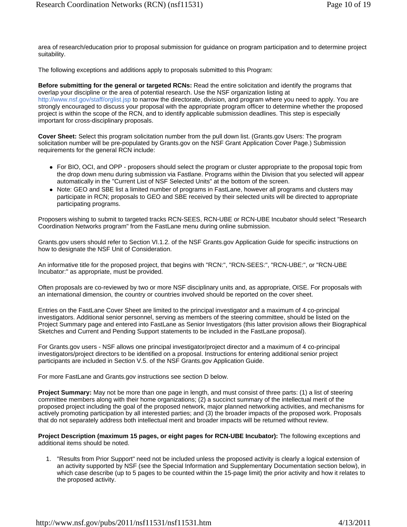area of research/education prior to proposal submission for guidance on program participation and to determine project suitability.

The following exceptions and additions apply to proposals submitted to this Program:

**Before submitting for the general or targeted RCNs:** Read the entire solicitation and identify the programs that overlap your discipline or the area of potential research. Use the NSF organization listing at http://www.nsf.gov/staff/orglist.jsp to narrow the directorate, division, and program where you need to apply. You are strongly encouraged to discuss your proposal with the appropriate program officer to determine whether the proposed project is within the scope of the RCN, and to identify applicable submission deadlines. This step is especially important for cross-disciplinary proposals.

**Cover Sheet:** Select this program solicitation number from the pull down list. (Grants.gov Users: The program solicitation number will be pre-populated by Grants.gov on the NSF Grant Application Cover Page.) Submission requirements for the general RCN include:

- For BIO, OCI, and OPP proposers should select the program or cluster appropriate to the proposal topic from the drop down menu during submission via Fastlane. Programs within the Division that you selected will appear automatically in the "Current List of NSF Selected Units" at the bottom of the screen.
- Note: GEO and SBE list a limited number of programs in FastLane, however all programs and clusters may participate in RCN; proposals to GEO and SBE received by their selected units will be directed to appropriate participating programs.

Proposers wishing to submit to targeted tracks RCN-SEES, RCN-UBE or RCN-UBE Incubator should select "Research Coordination Networks program" from the FastLane menu during online submission.

Grants.gov users should refer to Section VI.1.2. of the NSF Grants.gov Application Guide for specific instructions on how to designate the NSF Unit of Consideration.

An informative title for the proposed project, that begins with "RCN:", "RCN-SEES:", "RCN-UBE:", or "RCN-UBE Incubator:" as appropriate, must be provided.

Often proposals are co-reviewed by two or more NSF disciplinary units and, as appropriate, OISE. For proposals with an international dimension, the country or countries involved should be reported on the cover sheet.

Entries on the FastLane Cover Sheet are limited to the principal investigator and a maximum of 4 co-principal investigators. Additional senior personnel, serving as members of the steering committee, should be listed on the Project Summary page and entered into FastLane as Senior Investigators (this latter provision allows their Biographical Sketches and Current and Pending Support statements to be included in the FastLane proposal).

For Grants.gov users - NSF allows one principal investigator/project director and a maximum of 4 co-principal investigators/project directors to be identified on a proposal. Instructions for entering additional senior project participants are included in Section V.5. of the NSF Grants.gov Application Guide.

For more FastLane and Grants.gov instructions see section D below.

**Project Summary:** May not be more than one page in length, and must consist of three parts: (1) a list of steering committee members along with their home organizations; (2) a succinct summary of the intellectual merit of the proposed project including the goal of the proposed network, major planned networking activities, and mechanisms for actively promoting participation by all interested parties; and (3) the broader impacts of the proposed work. Proposals that do not separately address both intellectual merit and broader impacts will be returned without review.

**Project Description (maximum 15 pages, or eight pages for RCN-UBE Incubator):** The following exceptions and additional items should be noted.

1. "Results from Prior Support" need not be included unless the proposed activity is clearly a logical extension of an activity supported by NSF (see the Special Information and Supplementary Documentation section below), in which case describe (up to 5 pages to be counted within the 15-page limit) the prior activity and how it relates to the proposed activity.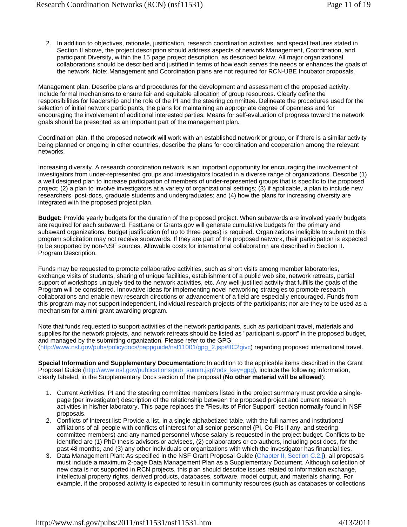2. In addition to objectives, rationale, justification, research coordination activities, and special features stated in Section II above, the project description should address aspects of network Management, Coordination, and participant Diversity, within the 15 page project description, as described below. All major organizational collaborations should be described and justified in terms of how each serves the needs or enhances the goals of the network. Note: Management and Coordination plans are not required for RCN-UBE Incubator proposals.

Management plan. Describe plans and procedures for the development and assessment of the proposed activity. Include formal mechanisms to ensure fair and equitable allocation of group resources. Clearly define the responsibilities for leadership and the role of the PI and the steering committee. Delineate the procedures used for the selection of initial network participants, the plans for maintaining an appropriate degree of openness and for encouraging the involvement of additional interested parties. Means for self-evaluation of progress toward the network goals should be presented as an important part of the management plan.

Coordination plan. If the proposed network will work with an established network or group, or if there is a similar activity being planned or ongoing in other countries, describe the plans for coordination and cooperation among the relevant networks.

Increasing diversity. A research coordination network is an important opportunity for encouraging the involvement of investigators from under-represented groups and investigators located in a diverse range of organizations. Describe (1) a well designed plan to increase participation of members of under-represented groups that is specific to the proposed project; (2) a plan to involve investigators at a variety of organizational settings; (3) if applicable, a plan to include new researchers, post-docs, graduate students and undergraduates; and (4) how the plans for increasing diversity are integrated with the proposed project plan.

**Budget:** Provide yearly budgets for the duration of the proposed project. When subawards are involved yearly budgets are required for each subaward. FastLane or Grants.gov will generate cumulative budgets for the primary and subaward organizations. Budget justification (of up to three pages) is required. Organizations ineligible to submit to this program solicitation may not receive subawards. If they are part of the proposed network, their participation is expected to be supported by non-NSF sources. Allowable costs for international collaboration are described in Section II. Program Description.

Funds may be requested to promote collaborative activities, such as short visits among member laboratories, exchange visits of students, sharing of unique facilities, establishment of a public web site, network retreats, partial support of workshops uniquely tied to the network activities, etc. Any well-justified activity that fulfills the goals of the Program will be considered. Innovative ideas for implementing novel networking strategies to promote research collaborations and enable new research directions or advancement of a field are especially encouraged. Funds from this program may not support independent, individual research projects of the participants; nor are they to be used as a mechanism for a mini-grant awarding program.

Note that funds requested to support activities of the network participants, such as participant travel, materials and supplies for the network projects, and network retreats should be listed as "participant support" in the proposed budget, and managed by the submitting organization. Please refer to the GPG (http://www.nsf.gov/pubs/policydocs/pappguide/nsf11001/gpg\_2.jsp#IIC2givc) regarding proposed international travel.

**Special Information and Supplementary Documentation:** In addition to the applicable items described in the Grant Proposal Guide (http://www.nsf.gov/publications/pub\_summ.jsp?ods\_key=gpg), include the following information, clearly labeled, in the Supplementary Docs section of the proposal (**No other material will be allowed**):

- 1. Current Activities: PI and the steering committee members listed in the project summary must provide a singlepage (per investigator) description of the relationship between the proposed project and current research activities in his/her laboratory. This page replaces the "Results of Prior Support" section normally found in NSF proposals.
- 2. Conflicts of Interest list: Provide a list, in a single alphabetized table, with the full names and institutional affiliations of all people with conflicts of interest for all senior personnel (PI, Co-PIs if any, and steering committee members) and any named personnel whose salary is requested in the project budget. Conflicts to be identified are (1) PhD thesis advisors or advisees, (2) collaborators or co-authors, including post docs, for the past 48 months, and (3) any other individuals or organizations with which the investigator has financial ties.
- 3. Data Management Plan: As specified in the NSF Grant Proposal Guide (Chapter II, Section C.2.j), all proposals must include a maximum 2-page Data Management Plan as a Supplementary Document. Although collection of new data is not supported in RCN projects, this plan should describe issues related to information exchange, intellectual property rights, derived products, databases, software, model output, and materials sharing. For example, if the proposed activity is expected to result in community resources (such as databases or collections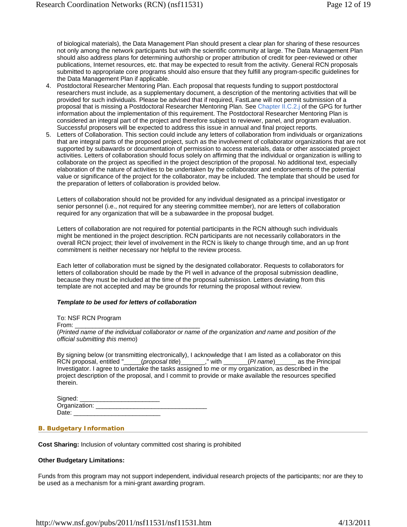of biological materials), the Data Management Plan should present a clear plan for sharing of these resources not only among the network participants but with the scientific community at large. The Data Management Plan should also address plans for determining authorship or proper attribution of credit for peer-reviewed or other publications, Internet resources, etc. that may be expected to result from the activity. General RCN proposals submitted to appropriate core programs should also ensure that they fulfill any program-specific guidelines for the Data Management Plan if applicable.

- 4. Postdoctoral Researcher Mentoring Plan. Each proposal that requests funding to support postdoctoral researchers must include, as a supplementary document, a description of the mentoring activities that will be provided for such individuals. Please be advised that if required, FastLane will not permit submission of a proposal that is missing a Postdoctoral Researcher Mentoring Plan. See Chapter II.C.2.j of the GPG for further information about the implementation of this requirement. The Postdoctoral Researcher Mentoring Plan is considered an integral part of the project and therefore subject to reviewer, panel, and program evaluation. Successful proposers will be expected to address this issue in annual and final project reports.
- 5. Letters of Collaboration. This section could include any letters of collaboration from individuals or organizations that are integral parts of the proposed project, such as the involvement of collaborator organizations that are not supported by subawards or documentation of permission to access materials, data or other associated project activities. Letters of collaboration should focus solely on affirming that the individual or organization is willing to collaborate on the project as specified in the project description of the proposal. No additional text, especially elaboration of the nature of activities to be undertaken by the collaborator and endorsements of the potential value or significance of the project for the collaborator, may be included. The template that should be used for the preparation of letters of collaboration is provided below.

Letters of collaboration should not be provided for any individual designated as a principal investigator or senior personnel (i.e., not required for any steering committee member), nor are letters of collaboration required for any organization that will be a subawardee in the proposal budget.

Letters of collaboration are not required for potential participants in the RCN although such individuals might be mentioned in the project description. RCN participants are not necessarily collaborators in the overall RCN project; their level of involvement in the RCN is likely to change through time, and an up front commitment is neither necessary nor helpful to the review process.

Each letter of collaboration must be signed by the designated collaborator. Requests to collaborators for letters of collaboration should be made by the PI well in advance of the proposal submission deadline, because they must be included at the time of the proposal submission. Letters deviating from this template are not accepted and may be grounds for returning the proposal without review.

# *Template to be used for letters of collaboration*

To: NSF RCN Program From: (*Printed name of the individual collaborator or name of the organization and name and position of the official submitting this memo*)

By signing below (or transmitting electronically), I acknowledge that I am listed as a collaborator on this RCN proposal, entitled "\_\_\_\_\_(*proposal title*)\_\_\_\_\_\_\_," with \_\_\_\_\_\_\_(*PI name*)\_\_\_\_\_\_ as the Principal Investigator. I agree to undertake the tasks assigned to me or my organization, as described in the project description of the proposal, and I commit to provide or make available the resources specified therein.

| Signed:       |  |
|---------------|--|
| Organization: |  |
| Date:         |  |

# **B. Budgetary Information**

**Cost Sharing:** Inclusion of voluntary committed cost sharing is prohibited

# **Other Budgetary Limitations:**

Funds from this program may not support independent, individual research projects of the participants; nor are they to be used as a mechanism for a mini-grant awarding program.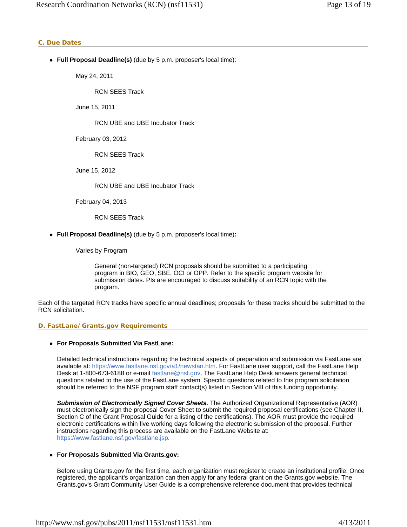# **C. Due Dates**

**• Full Proposal Deadline(s)** (due by 5 p.m. proposer's local time):

May 24, 2011

RCN SEES Track

June 15, 2011

RCN UBE and UBE Incubator Track

February 03, 2012

RCN SEES Track

June 15, 2012

RCN UBE and UBE Incubator Track

February 04, 2013

RCN SEES Track

z **Full Proposal Deadline(s)** (due by 5 p.m. proposer's local time)**:**

Varies by Program

General (non-targeted) RCN proposals should be submitted to a participating program in BIO, GEO, SBE, OCI or OPP. Refer to the specific program website for submission dates. PIs are encouraged to discuss suitability of an RCN topic with the program.

Each of the targeted RCN tracks have specific annual deadlines; proposals for these tracks should be submitted to the RCN solicitation.

# **D. FastLane/Grants.gov Requirements**

# z **For Proposals Submitted Via FastLane:**

Detailed technical instructions regarding the technical aspects of preparation and submission via FastLane are available at: https://www.fastlane.nsf.gov/a1/newstan.htm. For FastLane user support, call the FastLane Help Desk at 1-800-673-6188 or e-mail fastlane@nsf.gov. The FastLane Help Desk answers general technical questions related to the use of the FastLane system. Specific questions related to this program solicitation should be referred to the NSF program staff contact(s) listed in Section VIII of this funding opportunity.

*Submission of Electronically Signed Cover Sheets.* The Authorized Organizational Representative (AOR) must electronically sign the proposal Cover Sheet to submit the required proposal certifications (see Chapter II, Section C of the Grant Proposal Guide for a listing of the certifications). The AOR must provide the required electronic certifications within five working days following the electronic submission of the proposal. Further instructions regarding this process are available on the FastLane Website at: https://www.fastlane.nsf.gov/fastlane.jsp.

# **• For Proposals Submitted Via Grants.gov:**

Before using Grants.gov for the first time, each organization must register to create an institutional profile. Once registered, the applicant's organization can then apply for any federal grant on the Grants.gov website. The Grants.gov's Grant Community User Guide is a comprehensive reference document that provides technical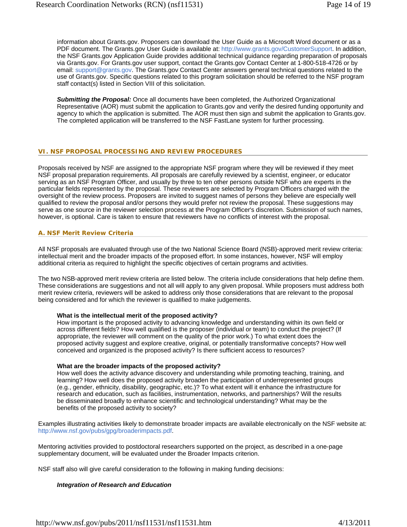information about Grants.gov. Proposers can download the User Guide as a Microsoft Word document or as a PDF document. The Grants.gov User Guide is available at: http://www.grants.gov/CustomerSupport. In addition, the NSF Grants.gov Application Guide provides additional technical guidance regarding preparation of proposals via Grants.gov. For Grants.gov user support, contact the Grants.gov Contact Center at 1-800-518-4726 or by email: support@grants.gov. The Grants.gov Contact Center answers general technical questions related to the use of Grants.gov. Specific questions related to this program solicitation should be referred to the NSF program staff contact(s) listed in Section VIII of this solicitation.

**Submitting the Proposal:** Once all documents have been completed, the Authorized Organizational Representative (AOR) must submit the application to Grants.gov and verify the desired funding opportunity and agency to which the application is submitted. The AOR must then sign and submit the application to Grants.gov. The completed application will be transferred to the NSF FastLane system for further processing.

# **VI. NSF PROPOSAL PROCESSING AND REVIEW PROCEDURES**

Proposals received by NSF are assigned to the appropriate NSF program where they will be reviewed if they meet NSF proposal preparation requirements. All proposals are carefully reviewed by a scientist, engineer, or educator serving as an NSF Program Officer, and usually by three to ten other persons outside NSF who are experts in the particular fields represented by the proposal. These reviewers are selected by Program Officers charged with the oversight of the review process. Proposers are invited to suggest names of persons they believe are especially well qualified to review the proposal and/or persons they would prefer not review the proposal. These suggestions may serve as one source in the reviewer selection process at the Program Officer's discretion. Submission of such names, however, is optional. Care is taken to ensure that reviewers have no conflicts of interest with the proposal.

# **A. NSF Merit Review Criteria**

All NSF proposals are evaluated through use of the two National Science Board (NSB)-approved merit review criteria: intellectual merit and the broader impacts of the proposed effort. In some instances, however, NSF will employ additional criteria as required to highlight the specific objectives of certain programs and activities.

The two NSB-approved merit review criteria are listed below. The criteria include considerations that help define them. These considerations are suggestions and not all will apply to any given proposal. While proposers must address both merit review criteria, reviewers will be asked to address only those considerations that are relevant to the proposal being considered and for which the reviewer is qualified to make judgements.

#### **What is the intellectual merit of the proposed activity?**

How important is the proposed activity to advancing knowledge and understanding within its own field or across different fields? How well qualified is the proposer (individual or team) to conduct the project? (If appropriate, the reviewer will comment on the quality of the prior work.) To what extent does the proposed activity suggest and explore creative, original, or potentially transformative concepts? How well conceived and organized is the proposed activity? Is there sufficient access to resources?

#### **What are the broader impacts of the proposed activity?**

How well does the activity advance discovery and understanding while promoting teaching, training, and learning? How well does the proposed activity broaden the participation of underrepresented groups (e.g., gender, ethnicity, disability, geographic, etc.)? To what extent will it enhance the infrastructure for research and education, such as facilities, instrumentation, networks, and partnerships? Will the results be disseminated broadly to enhance scientific and technological understanding? What may be the benefits of the proposed activity to society?

Examples illustrating activities likely to demonstrate broader impacts are available electronically on the NSF website at: http://www.nsf.gov/pubs/gpg/broaderimpacts.pdf.

Mentoring activities provided to postdoctoral researchers supported on the project, as described in a one-page supplementary document, will be evaluated under the Broader Impacts criterion.

NSF staff also will give careful consideration to the following in making funding decisions:

# *Integration of Research and Education*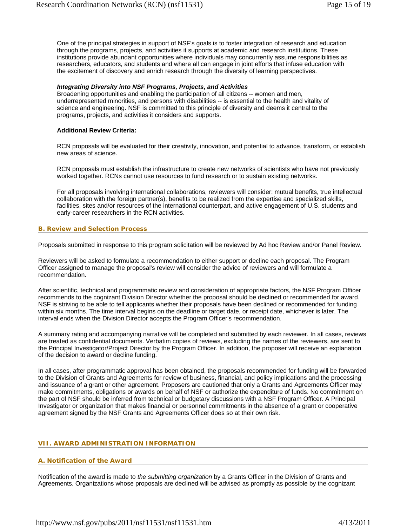One of the principal strategies in support of NSF's goals is to foster integration of research and education through the programs, projects, and activities it supports at academic and research institutions. These institutions provide abundant opportunities where individuals may concurrently assume responsibilities as researchers, educators, and students and where all can engage in joint efforts that infuse education with the excitement of discovery and enrich research through the diversity of learning perspectives.

#### *Integrating Diversity into NSF Programs, Projects, and Activities*

Broadening opportunities and enabling the participation of all citizens -- women and men, underrepresented minorities, and persons with disabilities -- is essential to the health and vitality of science and engineering. NSF is committed to this principle of diversity and deems it central to the programs, projects, and activities it considers and supports.

#### **Additional Review Criteria:**

RCN proposals will be evaluated for their creativity, innovation, and potential to advance, transform, or establish new areas of science.

RCN proposals must establish the infrastructure to create new networks of scientists who have not previously worked together. RCNs cannot use resources to fund research or to sustain existing networks.

For all proposals involving international collaborations, reviewers will consider: mutual benefits, true intellectual collaboration with the foreign partner(s), benefits to be realized from the expertise and specialized skills, facilities, sites and/or resources of the international counterpart, and active engagement of U.S. students and early-career researchers in the RCN activities.

# **B. Review and Selection Process**

Proposals submitted in response to this program solicitation will be reviewed by Ad hoc Review and/or Panel Review.

Reviewers will be asked to formulate a recommendation to either support or decline each proposal. The Program Officer assigned to manage the proposal's review will consider the advice of reviewers and will formulate a recommendation.

After scientific, technical and programmatic review and consideration of appropriate factors, the NSF Program Officer recommends to the cognizant Division Director whether the proposal should be declined or recommended for award. NSF is striving to be able to tell applicants whether their proposals have been declined or recommended for funding within six months. The time interval begins on the deadline or target date, or receipt date, whichever is later. The interval ends when the Division Director accepts the Program Officer's recommendation.

A summary rating and accompanying narrative will be completed and submitted by each reviewer. In all cases, reviews are treated as confidential documents. Verbatim copies of reviews, excluding the names of the reviewers, are sent to the Principal Investigator/Project Director by the Program Officer. In addition, the proposer will receive an explanation of the decision to award or decline funding.

In all cases, after programmatic approval has been obtained, the proposals recommended for funding will be forwarded to the Division of Grants and Agreements for review of business, financial, and policy implications and the processing and issuance of a grant or other agreement. Proposers are cautioned that only a Grants and Agreements Officer may make commitments, obligations or awards on behalf of NSF or authorize the expenditure of funds. No commitment on the part of NSF should be inferred from technical or budgetary discussions with a NSF Program Officer. A Principal Investigator or organization that makes financial or personnel commitments in the absence of a grant or cooperative agreement signed by the NSF Grants and Agreements Officer does so at their own risk.

# **VII. AWARD ADMINISTRATION INFORMATION**

# **A. Notification of the Award**

Notification of the award is made to *the submitting organization* by a Grants Officer in the Division of Grants and Agreements. Organizations whose proposals are declined will be advised as promptly as possible by the cognizant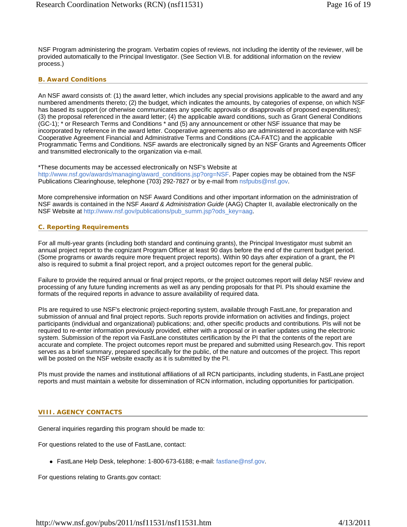NSF Program administering the program. Verbatim copies of reviews, not including the identity of the reviewer, will be provided automatically to the Principal Investigator. (See Section VI.B. for additional information on the review process.)

# **B. Award Conditions**

An NSF award consists of: (1) the award letter, which includes any special provisions applicable to the award and any numbered amendments thereto; (2) the budget, which indicates the amounts, by categories of expense, on which NSF has based its support (or otherwise communicates any specific approvals or disapprovals of proposed expenditures); (3) the proposal referenced in the award letter; (4) the applicable award conditions, such as Grant General Conditions (GC-1); \* or Research Terms and Conditions \* and (5) any announcement or other NSF issuance that may be incorporated by reference in the award letter. Cooperative agreements also are administered in accordance with NSF Cooperative Agreement Financial and Administrative Terms and Conditions (CA-FATC) and the applicable Programmatic Terms and Conditions. NSF awards are electronically signed by an NSF Grants and Agreements Officer and transmitted electronically to the organization via e-mail.

\*These documents may be accessed electronically on NSF's Website at http://www.nsf.gov/awards/managing/award\_conditions.jsp?org=NSF. Paper copies may be obtained from the NSF Publications Clearinghouse, telephone (703) 292-7827 or by e-mail from nsfpubs@nsf.gov.

More comprehensive information on NSF Award Conditions and other important information on the administration of NSF awards is contained in the NSF *Award & Administration Guide* (AAG) Chapter II, available electronically on the NSF Website at http://www.nsf.gov/publications/pub\_summ.jsp?ods\_key=aag.

#### **C. Reporting Requirements**

For all multi-year grants (including both standard and continuing grants), the Principal Investigator must submit an annual project report to the cognizant Program Officer at least 90 days before the end of the current budget period. (Some programs or awards require more frequent project reports). Within 90 days after expiration of a grant, the PI also is required to submit a final project report, and a project outcomes report for the general public.

Failure to provide the required annual or final project reports, or the project outcomes report will delay NSF review and processing of any future funding increments as well as any pending proposals for that PI. PIs should examine the formats of the required reports in advance to assure availability of required data.

PIs are required to use NSF's electronic project-reporting system, available through FastLane, for preparation and submission of annual and final project reports. Such reports provide information on activities and findings, project participants (individual and organizational) publications; and, other specific products and contributions. PIs will not be required to re-enter information previously provided, either with a proposal or in earlier updates using the electronic system. Submission of the report via FastLane constitutes certification by the PI that the contents of the report are accurate and complete. The project outcomes report must be prepared and submitted using Research.gov. This report serves as a brief summary, prepared specifically for the public, of the nature and outcomes of the project. This report will be posted on the NSF website exactly as it is submitted by the PI.

PIs must provide the names and institutional affiliations of all RCN participants, including students, in FastLane project reports and must maintain a website for dissemination of RCN information, including opportunities for participation.

# **VIII. AGENCY CONTACTS**

General inquiries regarding this program should be made to:

For questions related to the use of FastLane, contact:

• FastLane Help Desk, telephone: 1-800-673-6188; e-mail: fastlane@nsf.gov.

For questions relating to Grants.gov contact: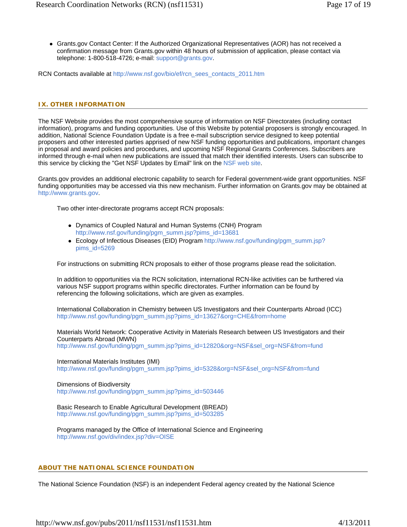• Grants.gov Contact Center: If the Authorized Organizational Representatives (AOR) has not received a confirmation message from Grants.gov within 48 hours of submission of application, please contact via telephone: 1-800-518-4726; e-mail: support@grants.gov.

RCN Contacts available at http://www.nsf.gov/bio/ef/rcn\_sees\_contacts\_2011.htm

# **IX. OTHER INFORMATION**

The NSF Website provides the most comprehensive source of information on NSF Directorates (including contact information), programs and funding opportunities. Use of this Website by potential proposers is strongly encouraged. In addition, National Science Foundation Update is a free e-mail subscription service designed to keep potential proposers and other interested parties apprised of new NSF funding opportunities and publications, important changes in proposal and award policies and procedures, and upcoming NSF Regional Grants Conferences. Subscribers are informed through e-mail when new publications are issued that match their identified interests. Users can subscribe to this service by clicking the "Get NSF Updates by Email" link on the NSF web site.

Grants.gov provides an additional electronic capability to search for Federal government-wide grant opportunities. NSF funding opportunities may be accessed via this new mechanism. Further information on Grants.gov may be obtained at http://www.grants.gov.

Two other inter-directorate programs accept RCN proposals:

- Dynamics of Coupled Natural and Human Systems (CNH) Program http://www.nsf.gov/funding/pgm\_summ.jsp?pims\_id=13681
- Ecology of Infectious Diseases (EID) Program http://www.nsf.gov/funding/pgm\_summ.jsp? pims\_id=5269

For instructions on submitting RCN proposals to either of those programs please read the solicitation.

In addition to opportunities via the RCN solicitation, international RCN-like activities can be furthered via various NSF support programs within specific directorates. Further information can be found by referencing the following solicitations, which are given as examples.

International Collaboration in Chemistry between US Investigators and their Counterparts Abroad (ICC) http://www.nsf.gov/funding/pgm\_summ.jsp?pims\_id=13627&org=CHE&from=home

Materials World Network: Cooperative Activity in Materials Research between US Investigators and their Counterparts Abroad (MWN) http://www.nsf.gov/funding/pgm\_summ.jsp?pims\_id=12820&org=NSF&sel\_org=NSF&from=fund

International Materials Institutes (IMI) http://www.nsf.gov/funding/pgm\_summ.jsp?pims\_id=5328&org=NSF&sel\_org=NSF&from=fund

Dimensions of Biodiversity http://www.nsf.gov/funding/pgm\_summ.jsp?pims\_id=503446

Basic Research to Enable Agricultural Development (BREAD) http://www.nsf.gov/funding/pgm\_summ.jsp?pims\_id=503285

Programs managed by the Office of International Science and Engineering http://www.nsf.gov/div/index.jsp?div=OISE

# **ABOUT THE NATIONAL SCIENCE FOUNDATION**

The National Science Foundation (NSF) is an independent Federal agency created by the National Science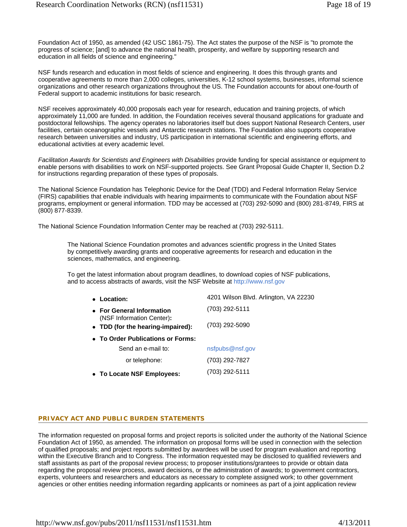Foundation Act of 1950, as amended (42 USC 1861-75). The Act states the purpose of the NSF is "to promote the progress of science; [and] to advance the national health, prosperity, and welfare by supporting research and education in all fields of science and engineering."

NSF funds research and education in most fields of science and engineering. It does this through grants and cooperative agreements to more than 2,000 colleges, universities, K-12 school systems, businesses, informal science organizations and other research organizations throughout the US. The Foundation accounts for about one-fourth of Federal support to academic institutions for basic research.

NSF receives approximately 40,000 proposals each year for research, education and training projects, of which approximately 11,000 are funded. In addition, the Foundation receives several thousand applications for graduate and postdoctoral fellowships. The agency operates no laboratories itself but does support National Research Centers, user facilities, certain oceanographic vessels and Antarctic research stations. The Foundation also supports cooperative research between universities and industry, US participation in international scientific and engineering efforts, and educational activities at every academic level.

*Facilitation Awards for Scientists and Engineers with Disabilities* provide funding for special assistance or equipment to enable persons with disabilities to work on NSF-supported projects. See Grant Proposal Guide Chapter II, Section D.2 for instructions regarding preparation of these types of proposals.

The National Science Foundation has Telephonic Device for the Deaf (TDD) and Federal Information Relay Service (FIRS) capabilities that enable individuals with hearing impairments to communicate with the Foundation about NSF programs, employment or general information. TDD may be accessed at (703) 292-5090 and (800) 281-8749, FIRS at (800) 877-8339.

The National Science Foundation Information Center may be reached at (703) 292-5111.

The National Science Foundation promotes and advances scientific progress in the United States by competitively awarding grants and cooperative agreements for research and education in the sciences, mathematics, and engineering.

To get the latest information about program deadlines, to download copies of NSF publications, and to access abstracts of awards, visit the NSF Website at http://www.nsf.gov

| • Location:                                            | 4201 Wilson Blvd. Arlington, VA 22230 |  |  |  |  |  |  |
|--------------------------------------------------------|---------------------------------------|--|--|--|--|--|--|
| • For General Information<br>(NSF Information Center): | (703) 292-5111                        |  |  |  |  |  |  |
| • TDD (for the hearing-impaired):                      | (703) 292-5090                        |  |  |  |  |  |  |
| • To Order Publications or Forms:                      |                                       |  |  |  |  |  |  |
| Send an e-mail to:                                     | nsfpubs@nsf.gov                       |  |  |  |  |  |  |
| or telephone:                                          | (703) 292-7827                        |  |  |  |  |  |  |
| • To Locate NSF Employees:                             | (703) 292-5111                        |  |  |  |  |  |  |

# **PRIVACY ACT AND PUBLIC BURDEN STATEMENTS**

The information requested on proposal forms and project reports is solicited under the authority of the National Science Foundation Act of 1950, as amended. The information on proposal forms will be used in connection with the selection of qualified proposals; and project reports submitted by awardees will be used for program evaluation and reporting within the Executive Branch and to Congress. The information requested may be disclosed to qualified reviewers and staff assistants as part of the proposal review process; to proposer institutions/grantees to provide or obtain data regarding the proposal review process, award decisions, or the administration of awards; to government contractors, experts, volunteers and researchers and educators as necessary to complete assigned work; to other government agencies or other entities needing information regarding applicants or nominees as part of a joint application review